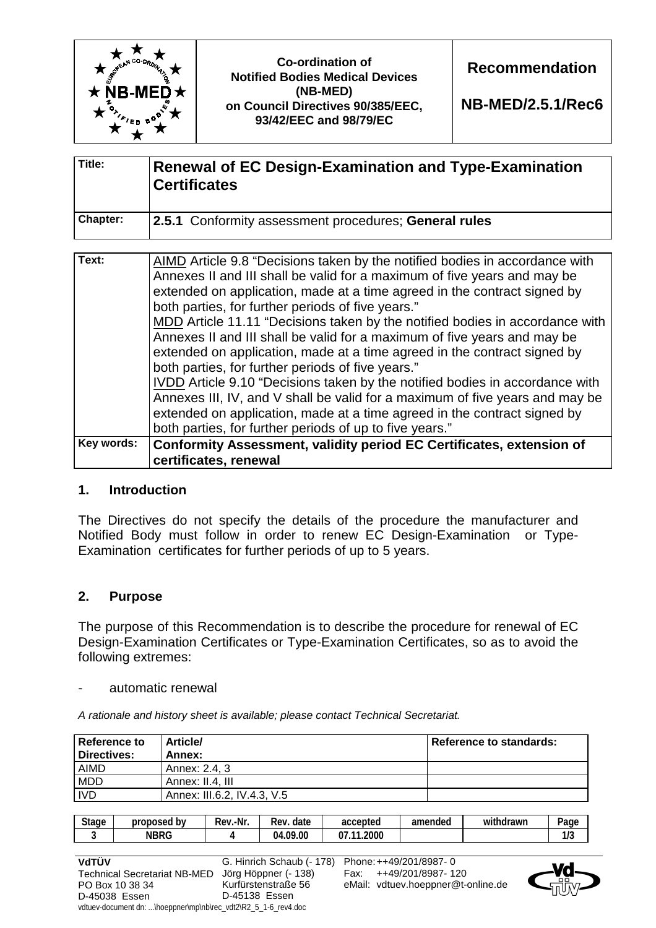

**NB-MED/2.5.1/Rec6**

| Title:          | <b>Renewal of EC Design-Examination and Type-Examination</b><br><b>Certificates</b> |
|-----------------|-------------------------------------------------------------------------------------|
| <b>Chapter:</b> | 2.5.1 Conformity assessment procedures; General rules                               |

| Text:      | AIMD Article 9.8 "Decisions taken by the notified bodies in accordance with  |
|------------|------------------------------------------------------------------------------|
|            | Annexes II and III shall be valid for a maximum of five years and may be     |
|            | extended on application, made at a time agreed in the contract signed by     |
|            | both parties, for further periods of five years."                            |
|            | MDD Article 11.11 "Decisions taken by the notified bodies in accordance with |
|            | Annexes II and III shall be valid for a maximum of five years and may be     |
|            | extended on application, made at a time agreed in the contract signed by     |
|            | both parties, for further periods of five years."                            |
|            | IVDD Article 9.10 "Decisions taken by the notified bodies in accordance with |
|            | Annexes III, IV, and V shall be valid for a maximum of five years and may be |
|            | extended on application, made at a time agreed in the contract signed by     |
|            | both parties, for further periods of up to five years."                      |
| Key words: | Conformity Assessment, validity period EC Certificates, extension of         |
|            | certificates, renewal                                                        |

## **1. Introduction**

The Directives do not specify the details of the procedure the manufacturer and Notified Body must follow in order to renew EC Design-Examination or Type-Examination certificates for further periods of up to 5 years.

# **2. Purpose**

The purpose of this Recommendation is to describe the procedure for renewal of EC Design-Examination Certificates or Type-Examination Certificates, so as to avoid the following extremes:

automatic renewal

*A rationale and history sheet is available; please contact Technical Secretariat.* 

| Reference to<br>Directives: | Article/<br>Annex:          | Reference to standards: |
|-----------------------------|-----------------------------|-------------------------|
| <b>AIMD</b>                 | Annex: 2.4. 3               |                         |
| <b>MDD</b>                  | Annex: II.4. III            |                         |
| <b>IVD</b>                  | Annex: III.6.2, IV.4.3, V.5 |                         |

| <b>Stage</b> | b٧<br>orot<br>oosed | .-Nr<br>Rev | -<br>date<br>Rev | accepted                          | amended | .<br>thdrawr<br>Wi | $P$ age                 |
|--------------|---------------------|-------------|------------------|-----------------------------------|---------|--------------------|-------------------------|
|              | NBRG                |             | .09.00<br>04.    | .2000<br>$\overline{\phantom{a}}$ |         |                    | $\overline{10}$<br>11 U |



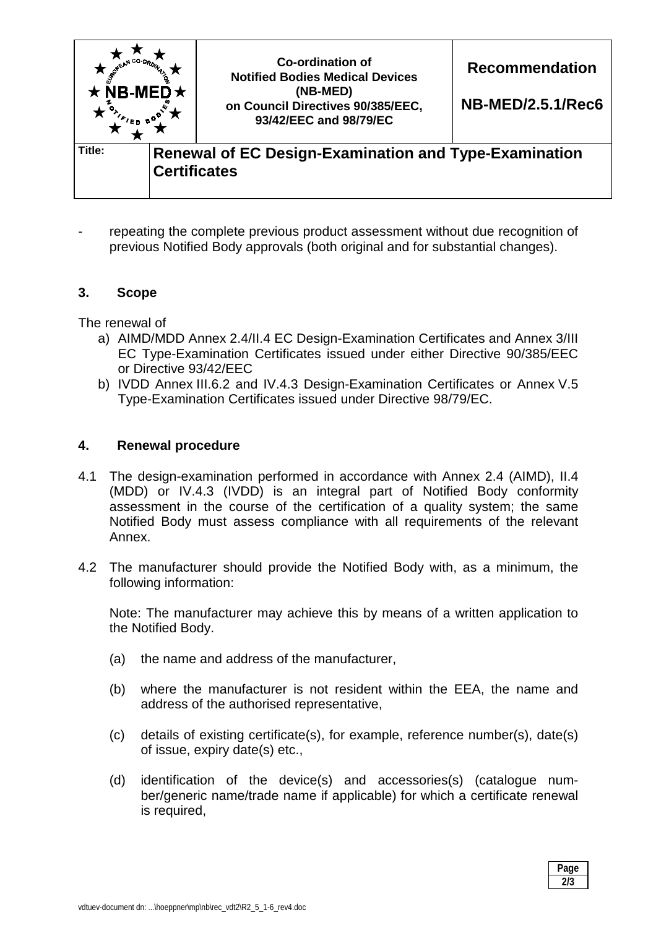

repeating the complete previous product assessment without due recognition of previous Notified Body approvals (both original and for substantial changes).

## **3. Scope**

The renewal of

- a) AIMD/MDD Annex 2.4/II.4 EC Design-Examination Certificates and Annex 3/III EC Type-Examination Certificates issued under either Directive 90/385/EEC or Directive 93/42/EEC
- b) IVDD Annex III.6.2 and IV.4.3 Design-Examination Certificates or Annex V.5 Type-Examination Certificates issued under Directive 98/79/EC.

## **4. Renewal procedure**

- 4.1 The design-examination performed in accordance with Annex 2.4 (AIMD), II.4 (MDD) or IV.4.3 (IVDD) is an integral part of Notified Body conformity assessment in the course of the certification of a quality system; the same Notified Body must assess compliance with all requirements of the relevant Annex.
- 4.2 The manufacturer should provide the Notified Body with, as a minimum, the following information:

Note: The manufacturer may achieve this by means of a written application to the Notified Body.

- (a) the name and address of the manufacturer,
- (b) where the manufacturer is not resident within the EEA, the name and address of the authorised representative,
- (c) details of existing certificate(s), for example, reference number(s), date(s) of issue, expiry date(s) etc.,
- (d) identification of the device(s) and accessories(s) (catalogue number/generic name/trade name if applicable) for which a certificate renewal is required,

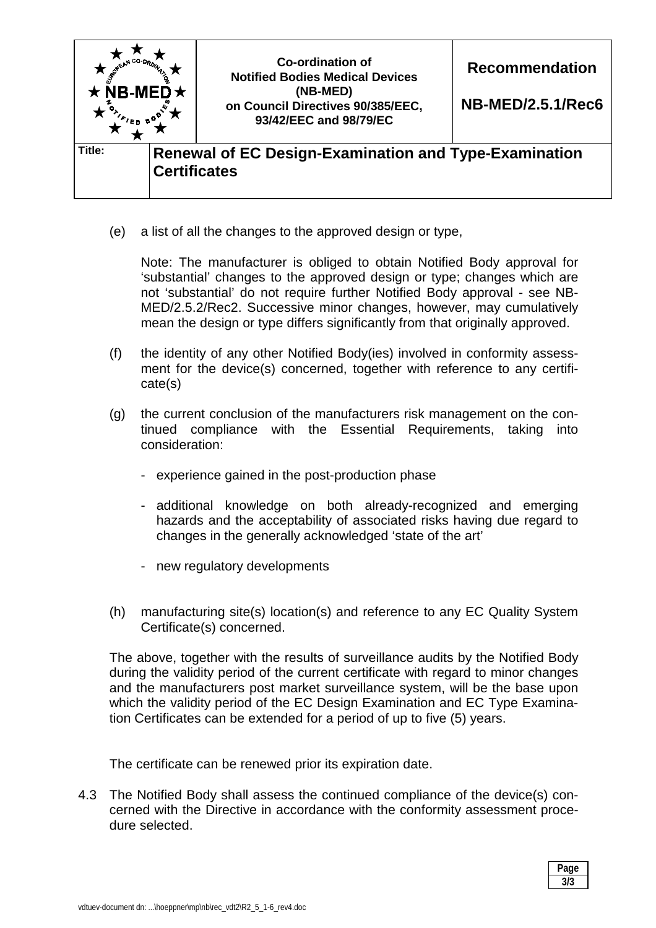

(e) a list of all the changes to the approved design or type,

 Note: The manufacturer is obliged to obtain Notified Body approval for 'substantial' changes to the approved design or type; changes which are not 'substantial' do not require further Notified Body approval - see NB-MED/2.5.2/Rec2. Successive minor changes, however, may cumulatively mean the design or type differs significantly from that originally approved.

- (f) the identity of any other Notified Body(ies) involved in conformity assessment for the device(s) concerned, together with reference to any certificate(s)
- (g) the current conclusion of the manufacturers risk management on the continued compliance with the Essential Requirements, taking into consideration:
	- experience gained in the post-production phase
	- additional knowledge on both already-recognized and emerging hazards and the acceptability of associated risks having due regard to changes in the generally acknowledged 'state of the art'
	- new regulatory developments
- (h) manufacturing site(s) location(s) and reference to any EC Quality System Certificate(s) concerned.

The above, together with the results of surveillance audits by the Notified Body during the validity period of the current certificate with regard to minor changes and the manufacturers post market surveillance system, will be the base upon which the validity period of the EC Design Examination and EC Type Examination Certificates can be extended for a period of up to five (5) years.

The certificate can be renewed prior its expiration date.

4.3 The Notified Body shall assess the continued compliance of the device(s) concerned with the Directive in accordance with the conformity assessment procedure selected.

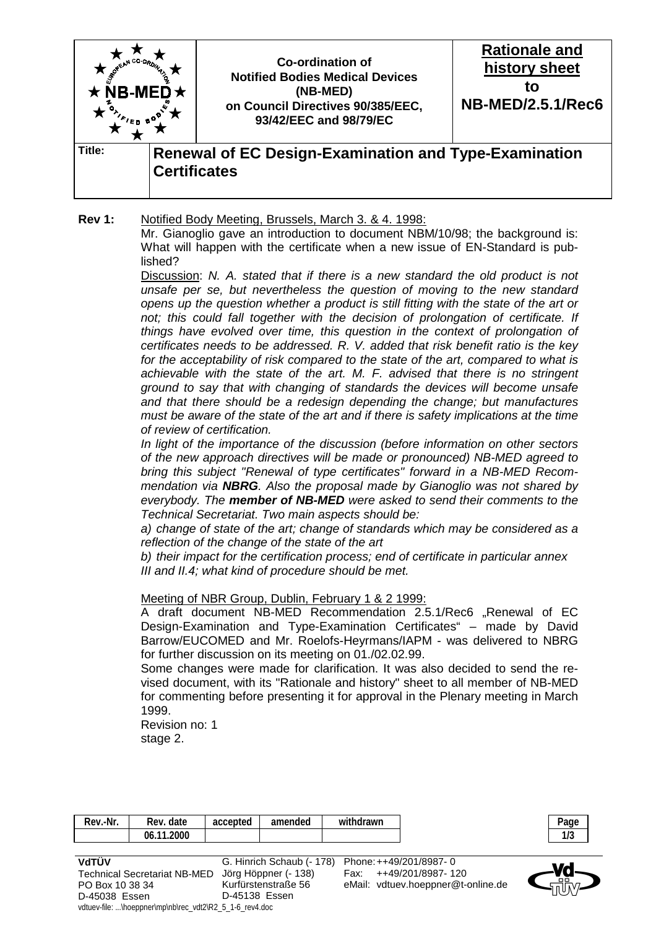

**Rev 1:** Notified Body Meeting, Brussels, March 3. & 4. 1998:

Mr. Gianoglio gave an introduction to document NBM/10/98; the background is: What will happen with the certificate when a new issue of EN-Standard is published?

 Discussion: *N. A. stated that if there is a new standard the old product is not unsafe per se, but nevertheless the question of moving to the new standard opens up the question whether a product is still fitting with the state of the art or*  not; this could fall together with the decision of prolongation of certificate. If *things have evolved over time, this question in the context of prolongation of certificates needs to be addressed. R. V. added that risk benefit ratio is the key for the acceptability of risk compared to the state of the art, compared to what is achievable with the state of the art. M. F. advised that there is no stringent ground to say that with changing of standards the devices will become unsafe and that there should be a redesign depending the change; but manufactures must be aware of the state of the art and if there is safety implications at the time of review of certification.* 

 *In light of the importance of the discussion (before information on other sectors of the new approach directives will be made or pronounced) NB-MED agreed to bring this subject "Renewal of type certificates" forward in a NB-MED Recommendation via NBRG. Also the proposal made by Gianoglio was not shared by everybody. The member of NB-MED were asked to send their comments to the Technical Secretariat. Two main aspects should be:* 

 *a) change of state of the art; change of standards which may be considered as a reflection of the change of the state of the art* 

 *b) their impact for the certification process; end of certificate in particular annex III and II.4; what kind of procedure should be met.* 

#### Meeting of NBR Group, Dublin, February 1 & 2 1999:

A draft document NB-MED Recommendation 2.5.1/Rec6 "Renewal of EC Design-Examination and Type-Examination Certificates" – made by David Barrow/EUCOMED and Mr. Roelofs-Heyrmans/IAPM - was delivered to NBRG for further discussion on its meeting on 01./02.02.99.

 Some changes were made for clarification. It was also decided to send the revised document, with its "Rationale and history" sheet to all member of NB-MED for commenting before presenting it for approval in the Plenary meeting in March 1999.

 Revision no: 1 stage 2.

| Rev.-Nr. | Rev. date  | accepted | amended                   | withdrawn              | Page        |
|----------|------------|----------|---------------------------|------------------------|-------------|
|          | 06.11.2000 |          |                           |                        | 117         |
|          |            |          |                           |                        |             |
| VdTÜV    |            |          | G. Hinrich Schaub (- 178) | Phone: ++49/201/8987-0 | <b>WALE</b> |

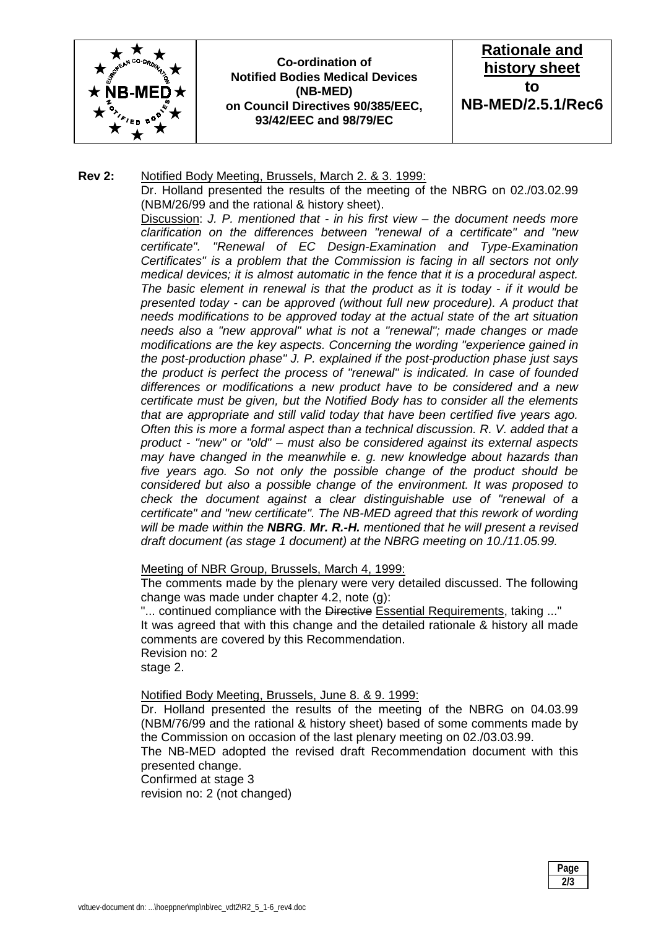

**Co-ordination of Notified Bodies Medical Devices (NB-MED) on Council Directives 90/385/EEC, 93/42/EEC and 98/79/EC** 



#### **Rev 2:** Notified Body Meeting, Brussels, March 2. & 3. 1999:

Dr. Holland presented the results of the meeting of the NBRG on 02./03.02.99 (NBM/26/99 and the rational & history sheet).

Discussion: *J. P. mentioned that - in his first view – the document needs more clarification on the differences between "renewal of a certificate" and "new certificate". "Renewal of EC Design-Examination and Type-Examination Certificates" is a problem that the Commission is facing in all sectors not only medical devices; it is almost automatic in the fence that it is a procedural aspect. The basic element in renewal is that the product as it is today - if it would be presented today - can be approved (without full new procedure). A product that needs modifications to be approved today at the actual state of the art situation needs also a "new approval" what is not a "renewal"; made changes or made modifications are the key aspects. Concerning the wording "experience gained in the post-production phase" J. P. explained if the post-production phase just says the product is perfect the process of "renewal" is indicated. In case of founded differences or modifications a new product have to be considered and a new certificate must be given, but the Notified Body has to consider all the elements that are appropriate and still valid today that have been certified five years ago. Often this is more a formal aspect than a technical discussion. R. V. added that a product - "new" or "old" – must also be considered against its external aspects may have changed in the meanwhile e. g. new knowledge about hazards than five years ago. So not only the possible change of the product should be considered but also a possible change of the environment. It was proposed to check the document against a clear distinguishable use of "renewal of a certificate" and "new certificate". The NB-MED agreed that this rework of wording will be made within the NBRG. Mr. R.-H. mentioned that he will present a revised draft document (as stage 1 document) at the NBRG meeting on 10./11.05.99.* 

#### Meeting of NBR Group, Brussels, March 4, 1999:

 The comments made by the plenary were very detailed discussed. The following change was made under chapter 4.2, note (g):

"... continued compliance with the Directive Essential Requirements, taking ..." It was agreed that with this change and the detailed rationale & history all made comments are covered by this Recommendation. Revision no: 2 stage 2.

Notified Body Meeting, Brussels, June 8. & 9. 1999:

 Dr. Holland presented the results of the meeting of the NBRG on 04.03.99 (NBM/76/99 and the rational & history sheet) based of some comments made by the Commission on occasion of the last plenary meeting on 02./03.03.99.

 The NB-MED adopted the revised draft Recommendation document with this presented change.

Confirmed at stage 3

revision no: 2 (not changed)